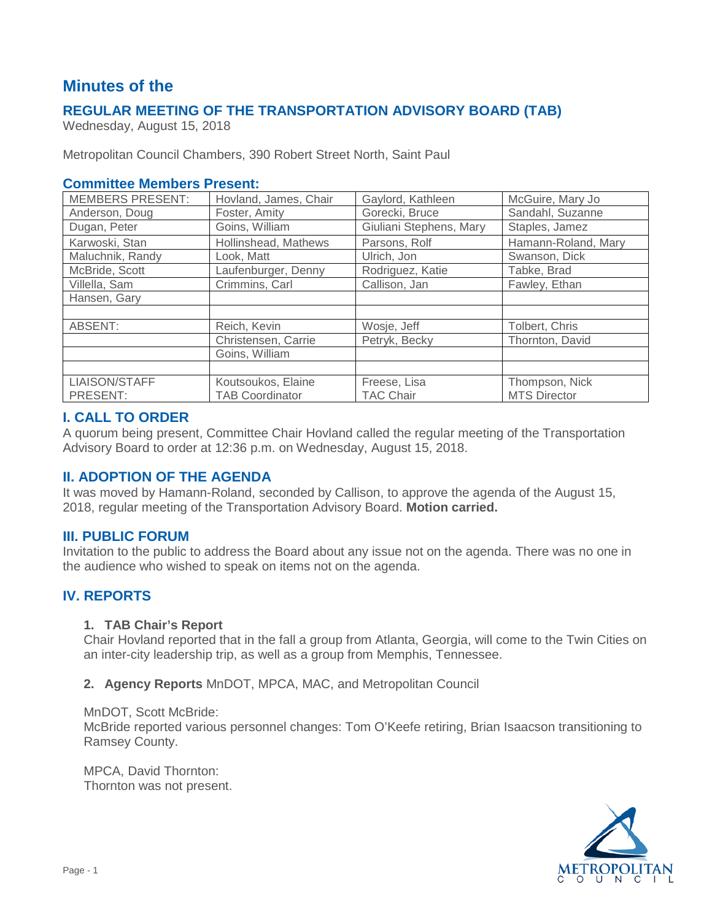# **Minutes of the**

# **REGULAR MEETING OF THE TRANSPORTATION ADVISORY BOARD (TAB)**

Wednesday, August 15, 2018

Metropolitan Council Chambers, 390 Robert Street North, Saint Paul

#### **Committee Members Present:**

| <b>MEMBERS PRESENT:</b> | Hovland, James, Chair  | Gaylord, Kathleen       | McGuire, Mary Jo    |
|-------------------------|------------------------|-------------------------|---------------------|
| Anderson, Doug          | Foster, Amity          | Gorecki, Bruce          | Sandahl, Suzanne    |
| Dugan, Peter            | Goins, William         | Giuliani Stephens, Mary | Staples, Jamez      |
| Karwoski, Stan          | Hollinshead, Mathews   | Parsons, Rolf           | Hamann-Roland, Mary |
| Maluchnik, Randy        | Look, Matt             | Ulrich, Jon             | Swanson, Dick       |
| McBride, Scott          | Laufenburger, Denny    | Rodriguez, Katie        | Tabke, Brad         |
| Villella, Sam           | Crimmins, Carl         | Callison, Jan           | Fawley, Ethan       |
| Hansen, Gary            |                        |                         |                     |
|                         |                        |                         |                     |
| ABSENT:                 | Reich, Kevin           | Wosje, Jeff             | Tolbert, Chris      |
|                         | Christensen, Carrie    | Petryk, Becky           | Thornton, David     |
|                         | Goins, William         |                         |                     |
|                         |                        |                         |                     |
| LIAISON/STAFF           | Koutsoukos, Elaine     | Freese, Lisa            | Thompson, Nick      |
| PRESENT:                | <b>TAB Coordinator</b> | <b>TAC Chair</b>        | <b>MTS Director</b> |

#### **I. CALL TO ORDER**

A quorum being present, Committee Chair Hovland called the regular meeting of the Transportation Advisory Board to order at 12:36 p.m. on Wednesday, August 15, 2018.

## **II. ADOPTION OF THE AGENDA**

It was moved by Hamann-Roland, seconded by Callison, to approve the agenda of the August 15, 2018, regular meeting of the Transportation Advisory Board. **Motion carried.**

#### **III. PUBLIC FORUM**

Invitation to the public to address the Board about any issue not on the agenda. There was no one in the audience who wished to speak on items not on the agenda.

## **IV. REPORTS**

#### **1. TAB Chair's Report**

Chair Hovland reported that in the fall a group from Atlanta, Georgia, will come to the Twin Cities on an inter-city leadership trip, as well as a group from Memphis, Tennessee.

#### **2. Agency Reports** MnDOT, MPCA, MAC, and Metropolitan Council

#### MnDOT, Scott McBride:

McBride reported various personnel changes: Tom O'Keefe retiring, Brian Isaacson transitioning to Ramsey County.

MPCA, David Thornton: Thornton was not present.

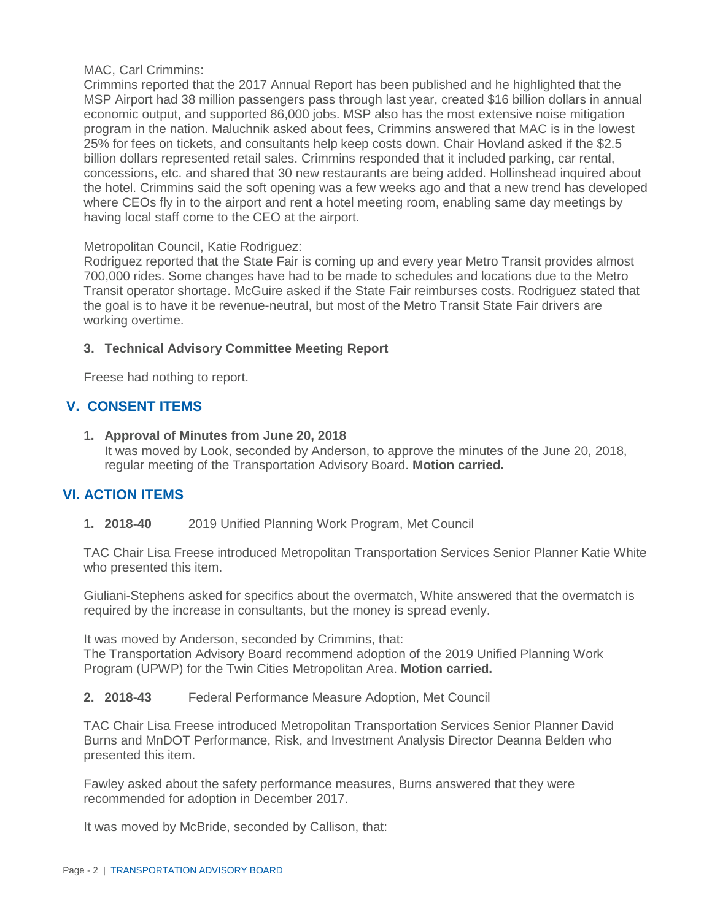#### MAC, Carl Crimmins:

Crimmins reported that the 2017 Annual Report has been published and he highlighted that the MSP Airport had 38 million passengers pass through last year, created \$16 billion dollars in annual economic output, and supported 86,000 jobs. MSP also has the most extensive noise mitigation program in the nation. Maluchnik asked about fees, Crimmins answered that MAC is in the lowest 25% for fees on tickets, and consultants help keep costs down. Chair Hovland asked if the \$2.5 billion dollars represented retail sales. Crimmins responded that it included parking, car rental, concessions, etc. and shared that 30 new restaurants are being added. Hollinshead inquired about the hotel. Crimmins said the soft opening was a few weeks ago and that a new trend has developed where CEOs fly in to the airport and rent a hotel meeting room, enabling same day meetings by having local staff come to the CEO at the airport.

#### Metropolitan Council, Katie Rodriguez:

Rodriguez reported that the State Fair is coming up and every year Metro Transit provides almost 700,000 rides. Some changes have had to be made to schedules and locations due to the Metro Transit operator shortage. McGuire asked if the State Fair reimburses costs. Rodriguez stated that the goal is to have it be revenue-neutral, but most of the Metro Transit State Fair drivers are working overtime.

### **3. Technical Advisory Committee Meeting Report**

Freese had nothing to report.

## **V. CONSENT ITEMS**

**1. Approval of Minutes from June 20, 2018** It was moved by Look, seconded by Anderson, to approve the minutes of the June 20, 2018, regular meeting of the Transportation Advisory Board. **Motion carried.**

# **VI. ACTION ITEMS**

**1. 2018-40** 2019 Unified Planning Work Program, Met Council

TAC Chair Lisa Freese introduced Metropolitan Transportation Services Senior Planner Katie White who presented this item.

Giuliani-Stephens asked for specifics about the overmatch, White answered that the overmatch is required by the increase in consultants, but the money is spread evenly.

It was moved by Anderson, seconded by Crimmins, that:

The Transportation Advisory Board recommend adoption of the 2019 Unified Planning Work Program (UPWP) for the Twin Cities Metropolitan Area. **Motion carried.**

**2. 2018-43** Federal Performance Measure Adoption, Met Council

TAC Chair Lisa Freese introduced Metropolitan Transportation Services Senior Planner David Burns and MnDOT Performance, Risk, and Investment Analysis Director Deanna Belden who presented this item.

Fawley asked about the safety performance measures, Burns answered that they were recommended for adoption in December 2017.

It was moved by McBride, seconded by Callison, that: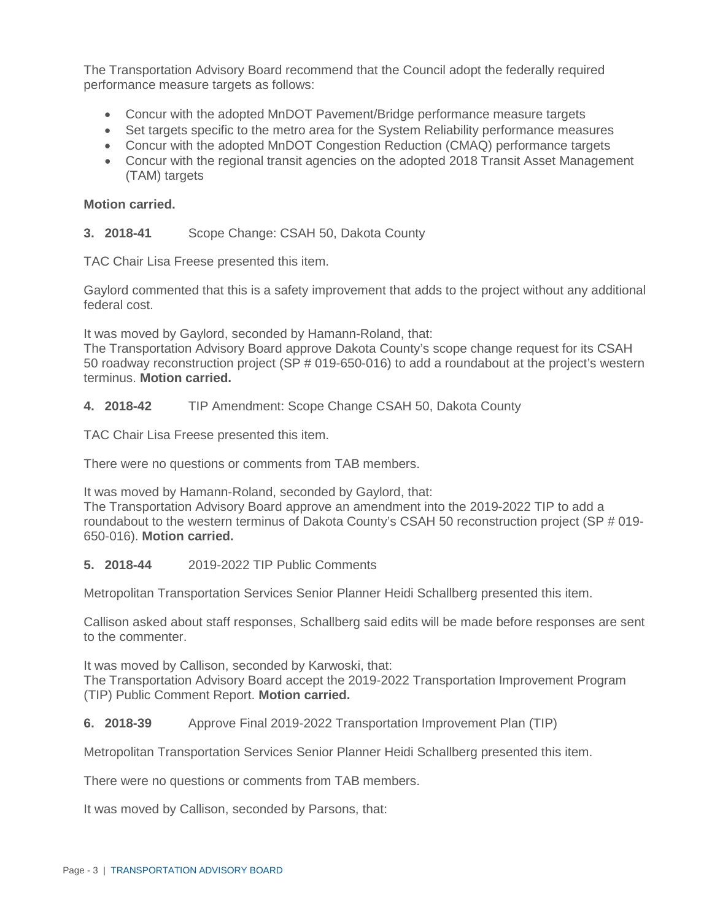The Transportation Advisory Board recommend that the Council adopt the federally required performance measure targets as follows:

- Concur with the adopted MnDOT Pavement/Bridge performance measure targets
- Set targets specific to the metro area for the System Reliability performance measures
- Concur with the adopted MnDOT Congestion Reduction (CMAQ) performance targets
- Concur with the regional transit agencies on the adopted 2018 Transit Asset Management (TAM) targets

### **Motion carried.**

**3. 2018-41** Scope Change: CSAH 50, Dakota County

TAC Chair Lisa Freese presented this item.

Gaylord commented that this is a safety improvement that adds to the project without any additional federal cost.

It was moved by Gaylord, seconded by Hamann-Roland, that:

The Transportation Advisory Board approve Dakota County's scope change request for its CSAH 50 roadway reconstruction project (SP # 019-650-016) to add a roundabout at the project's western terminus. **Motion carried.**

### **4. 2018-42** TIP Amendment: Scope Change CSAH 50, Dakota County

TAC Chair Lisa Freese presented this item.

There were no questions or comments from TAB members.

It was moved by Hamann-Roland, seconded by Gaylord, that:

The Transportation Advisory Board approve an amendment into the 2019-2022 TIP to add a roundabout to the western terminus of Dakota County's CSAH 50 reconstruction project (SP # 019- 650-016). **Motion carried.**

## **5. 2018-44** 2019-2022 TIP Public Comments

Metropolitan Transportation Services Senior Planner Heidi Schallberg presented this item.

Callison asked about staff responses, Schallberg said edits will be made before responses are sent to the commenter.

It was moved by Callison, seconded by Karwoski, that: The Transportation Advisory Board accept the 2019-2022 Transportation Improvement Program (TIP) Public Comment Report. **Motion carried.**

## **6. 2018-39** Approve Final 2019-2022 Transportation Improvement Plan (TIP)

Metropolitan Transportation Services Senior Planner Heidi Schallberg presented this item.

There were no questions or comments from TAB members.

It was moved by Callison, seconded by Parsons, that: